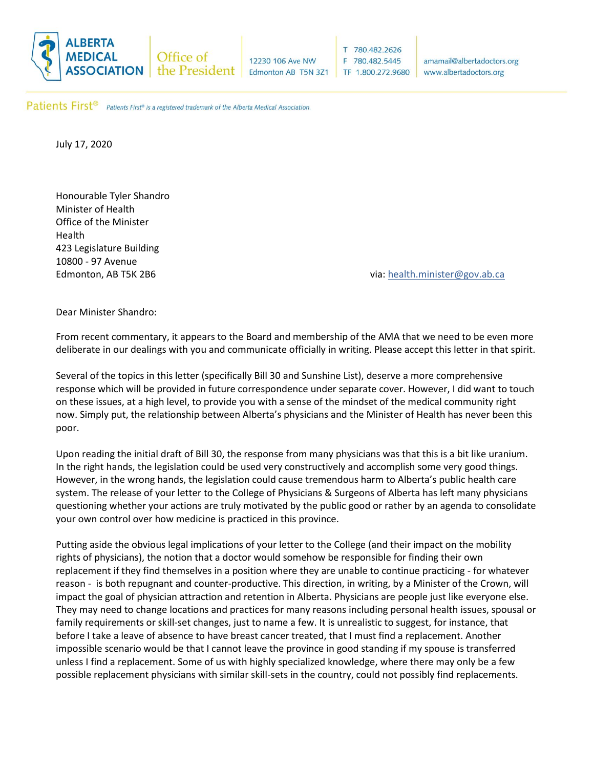

12230 106 Ave NW Edmonton AB T5N 3Z1

 $T$ 780.482.2626 780.482.5445 F. TF 1.800.272.9680

amamail@albertadoctors.org www.albertadoctors.org

Patients First<sup>®</sup> Patients First® is a registered trademark of the Alberta Medical Association.

July 17, 2020

Honourable Tyler Shandro Minister of Health Office of the Minister Health 423 Legislature Building 10800 - 97 Avenue

Edmonton, AB T5K 2B6 via: [health.minister@gov.ab.ca](mailto:health.minister@gov.ab.ca)

Dear Minister Shandro:

From recent commentary, it appears to the Board and membership of the AMA that we need to be even more deliberate in our dealings with you and communicate officially in writing. Please accept this letter in that spirit.

Several of the topics in this letter (specifically Bill 30 and Sunshine List), deserve a more comprehensive response which will be provided in future correspondence under separate cover. However, I did want to touch on these issues, at a high level, to provide you with a sense of the mindset of the medical community right now. Simply put, the relationship between Alberta's physicians and the Minister of Health has never been this poor.

Upon reading the initial draft of Bill 30, the response from many physicians was that this is a bit like uranium. In the right hands, the legislation could be used very constructively and accomplish some very good things. However, in the wrong hands, the legislation could cause tremendous harm to Alberta's public health care system. The release of your letter to the College of Physicians & Surgeons of Alberta has left many physicians questioning whether your actions are truly motivated by the public good or rather by an agenda to consolidate your own control over how medicine is practiced in this province.

Putting aside the obvious legal implications of your letter to the College (and their impact on the mobility rights of physicians), the notion that a doctor would somehow be responsible for finding their own replacement if they find themselves in a position where they are unable to continue practicing - for whatever reason - is both repugnant and counter-productive. This direction, in writing, by a Minister of the Crown, will impact the goal of physician attraction and retention in Alberta. Physicians are people just like everyone else. They may need to change locations and practices for many reasons including personal health issues, spousal or family requirements or skill-set changes, just to name a few. It is unrealistic to suggest, for instance, that before I take a leave of absence to have breast cancer treated, that I must find a replacement. Another impossible scenario would be that I cannot leave the province in good standing if my spouse is transferred unless I find a replacement. Some of us with highly specialized knowledge, where there may only be a few possible replacement physicians with similar skill-sets in the country, could not possibly find replacements.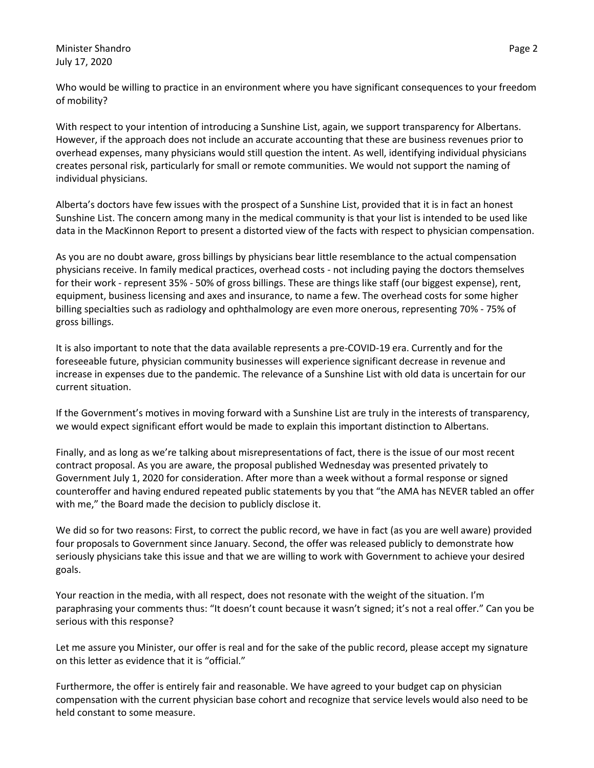Minister Shandro **Page 2 Page 2** July 17, 2020

Who would be willing to practice in an environment where you have significant consequences to your freedom of mobility?

With respect to your intention of introducing a Sunshine List, again, we support transparency for Albertans. However, if the approach does not include an accurate accounting that these are business revenues prior to overhead expenses, many physicians would still question the intent. As well, identifying individual physicians creates personal risk, particularly for small or remote communities. We would not support the naming of individual physicians.

Alberta's doctors have few issues with the prospect of a Sunshine List, provided that it is in fact an honest Sunshine List. The concern among many in the medical community is that your list is intended to be used like data in the MacKinnon Report to present a distorted view of the facts with respect to physician compensation.

As you are no doubt aware, gross billings by physicians bear little resemblance to the actual compensation physicians receive. In family medical practices, overhead costs - not including paying the doctors themselves for their work - represent 35% - 50% of gross billings. These are things like staff (our biggest expense), rent, equipment, business licensing and axes and insurance, to name a few. The overhead costs for some higher billing specialties such as radiology and ophthalmology are even more onerous, representing 70% - 75% of gross billings.

It is also important to note that the data available represents a pre-COVID-19 era. Currently and for the foreseeable future, physician community businesses will experience significant decrease in revenue and increase in expenses due to the pandemic. The relevance of a Sunshine List with old data is uncertain for our current situation.

If the Government's motives in moving forward with a Sunshine List are truly in the interests of transparency, we would expect significant effort would be made to explain this important distinction to Albertans.

Finally, and as long as we're talking about misrepresentations of fact, there is the issue of our most recent contract proposal. As you are aware, the proposal published Wednesday was presented privately to Government July 1, 2020 for consideration. After more than a week without a formal response or signed counteroffer and having endured repeated public statements by you that "the AMA has NEVER tabled an offer with me," the Board made the decision to publicly disclose it.

We did so for two reasons: First, to correct the public record, we have in fact (as you are well aware) provided four proposals to Government since January. Second, the offer was released publicly to demonstrate how seriously physicians take this issue and that we are willing to work with Government to achieve your desired goals.

Your reaction in the media, with all respect, does not resonate with the weight of the situation. I'm paraphrasing your comments thus: "It doesn't count because it wasn't signed; it's not a real offer." Can you be serious with this response?

Let me assure you Minister, our offer is real and for the sake of the public record, please accept my signature on this letter as evidence that it is "official."

Furthermore, the offer is entirely fair and reasonable. We have agreed to your budget cap on physician compensation with the current physician base cohort and recognize that service levels would also need to be held constant to some measure.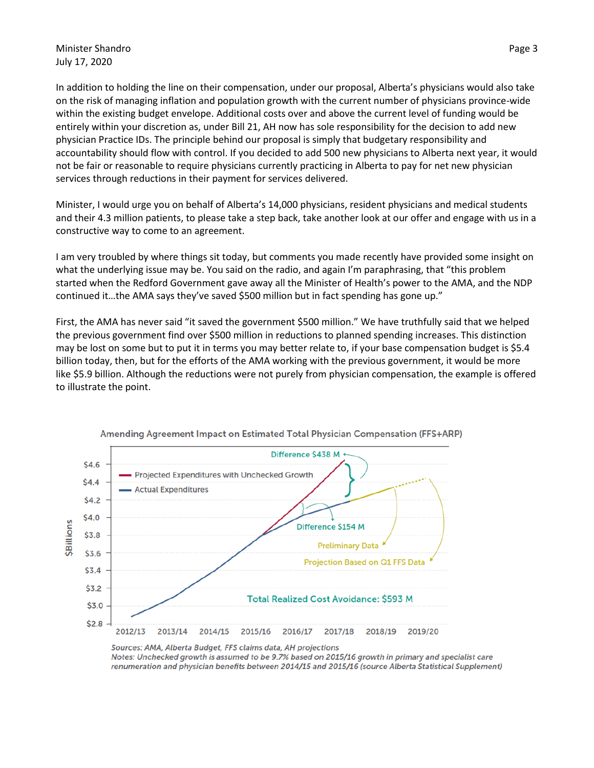In addition to holding the line on their compensation, under our proposal, Alberta's physicians would also take on the risk of managing inflation and population growth with the current number of physicians province-wide within the existing budget envelope. Additional costs over and above the current level of funding would be entirely within your discretion as, under Bill 21, AH now has sole responsibility for the decision to add new physician Practice IDs. The principle behind our proposal is simply that budgetary responsibility and accountability should flow with control. If you decided to add 500 new physicians to Alberta next year, it would not be fair or reasonable to require physicians currently practicing in Alberta to pay for net new physician services through reductions in their payment for services delivered.

Minister, I would urge you on behalf of Alberta's 14,000 physicians, resident physicians and medical students and their 4.3 million patients, to please take a step back, take another look at our offer and engage with us in a constructive way to come to an agreement.

I am very troubled by where things sit today, but comments you made recently have provided some insight on what the underlying issue may be. You said on the radio, and again I'm paraphrasing, that "this problem started when the Redford Government gave away all the Minister of Health's power to the AMA, and the NDP continued it…the AMA says they've saved \$500 million but in fact spending has gone up."

First, the AMA has never said "it saved the government \$500 million." We have truthfully said that we helped the previous government find over \$500 million in reductions to planned spending increases. This distinction may be lost on some but to put it in terms you may better relate to, if your base compensation budget is \$5.4 billion today, then, but for the efforts of the AMA working with the previous government, it would be more like \$5.9 billion. Although the reductions were not purely from physician compensation, the example is offered to illustrate the point.



Amending Agreement Impact on Estimated Total Physician Compensation (FFS+ARP)

Sources: AMA, Alberta Budget, FFS claims data, AH projections Notes: Unchecked growth is assumed to be 9.7% based on 2015/16 growth in primary and specialist care renumeration and physician benefits between 2014/15 and 2015/16 (source Alberta Statistical Supplement)